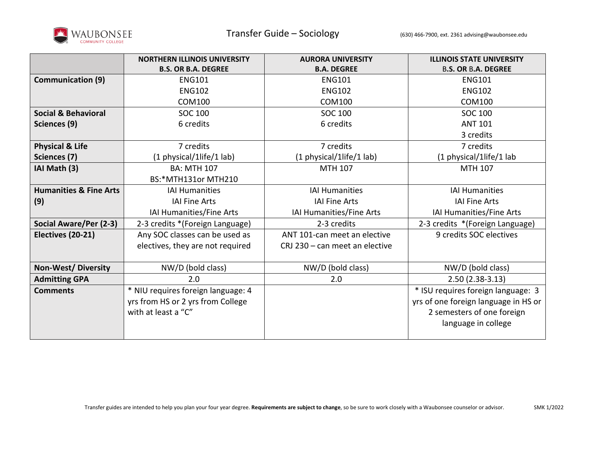

|                                   | <b>NORTHERN ILLINOIS UNIVERSITY</b> | <b>AURORA UNIVERSITY</b>       | <b>ILLINOIS STATE UNIVERSITY</b>     |
|-----------------------------------|-------------------------------------|--------------------------------|--------------------------------------|
|                                   | <b>B.S. OR B.A. DEGREE</b>          | <b>B.A. DEGREE</b>             | <b>B.S. OR B.A. DEGREE</b>           |
| <b>Communication (9)</b>          | <b>ENG101</b>                       | <b>ENG101</b>                  | <b>ENG101</b>                        |
|                                   | <b>ENG102</b>                       | <b>ENG102</b>                  | <b>ENG102</b>                        |
|                                   | <b>COM100</b>                       | <b>COM100</b>                  | <b>COM100</b>                        |
| <b>Social &amp; Behavioral</b>    | <b>SOC 100</b>                      | SOC 100                        | <b>SOC 100</b>                       |
| Sciences (9)                      | 6 credits                           | 6 credits                      | <b>ANT 101</b>                       |
|                                   |                                     |                                | 3 credits                            |
| <b>Physical &amp; Life</b>        | 7 credits                           | 7 credits                      | 7 credits                            |
| Sciences (7)                      | (1 physical/1life/1 lab)            | (1 physical/1life/1 lab)       | (1 physical/1life/1 lab              |
| IAI Math (3)                      | <b>BA: MTH 107</b>                  | MTH 107                        | <b>MTH 107</b>                       |
|                                   | BS:*MTH131or MTH210                 |                                |                                      |
| <b>Humanities &amp; Fine Arts</b> | <b>IAI Humanities</b>               | <b>IAI Humanities</b>          | <b>IAI Humanities</b>                |
| (9)                               | <b>IAI Fine Arts</b>                | <b>IAI Fine Arts</b>           | <b>IAI Fine Arts</b>                 |
|                                   | IAI Humanities/Fine Arts            | IAI Humanities/Fine Arts       | IAI Humanities/Fine Arts             |
| Social Aware/Per (2-3)            | 2-3 credits *(Foreign Language)     | 2-3 credits                    | 2-3 credits *(Foreign Language)      |
| Electives (20-21)                 | Any SOC classes can be used as      | ANT 101-can meet an elective   | 9 credits SOC electives              |
|                                   | electives, they are not required    | CRJ 230 - can meet an elective |                                      |
|                                   |                                     |                                |                                      |
| <b>Non-West/Diversity</b>         | NW/D (bold class)                   | NW/D (bold class)              | NW/D (bold class)                    |
| <b>Admitting GPA</b>              | 2.0                                 | 2.0                            | $2.50(2.38-3.13)$                    |
| <b>Comments</b>                   | * NIU requires foreign language: 4  |                                | * ISU requires foreign language: 3   |
|                                   | yrs from HS or 2 yrs from College   |                                | yrs of one foreign language in HS or |
|                                   | with at least a "C"                 |                                | 2 semesters of one foreign           |
|                                   |                                     |                                | language in college                  |
|                                   |                                     |                                |                                      |